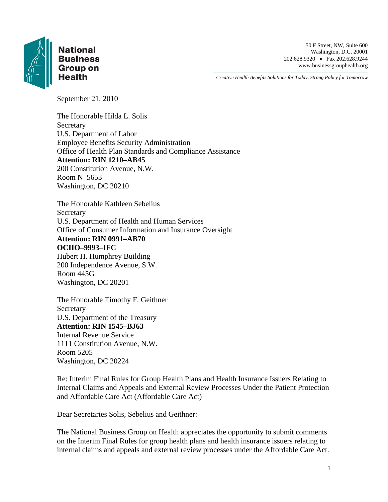

# **National**

 50 F Street, NW, Suite 600 Washington, D.C. 20001 **Business** 202.628.9320 • Fax 202.628.9344 Group on www.businessgrouphealth.org

*Creative Health Benefits Solutions for Today, Strong Policy for Tomorrow* 

September 21, 2010

The Honorable Hilda L. Solis **Secretary** U.S. Department of Labor Employee Benefits Security Administration Office of Health Plan Standards and Compliance Assistance **Attention: RIN 1210–AB45**  200 Constitution Avenue, N.W. Room N–5653 Washington, DC 20210

The Honorable Kathleen Sebelius Secretary U.S. Department of Health and Human Services Office of Consumer Information and Insurance Oversight **Attention: RIN 0991–AB70 OCIIO–9993–IFC**  Hubert H. Humphrey Building 200 Independence Avenue, S.W. Room 445G Washington, DC 20201

The Honorable Timothy F. Geithner Secretary U.S. Department of the Treasury **Attention: RIN 1545–BJ63**  Internal Revenue Service 1111 Constitution Avenue, N.W. Room 5205 Washington, DC 20224

Re: Interim Final Rules for Group Health Plans and Health Insurance Issuers Relating to Internal Claims and Appeals and External Review Processes Under the Patient Protection and Affordable Care Act (Affordable Care Act)

Dear Secretaries Solis, Sebelius and Geithner:

The National Business Group on Health appreciates the opportunity to submit comments on the Interim Final Rules for group health plans and health insurance issuers relating to internal claims and appeals and external review processes under the Affordable Care Act.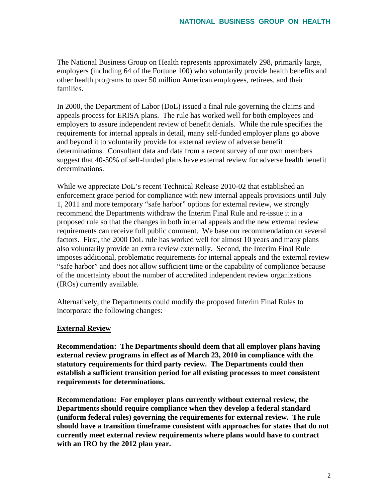The National Business Group on Health represents approximately 298, primarily large, employers (including 64 of the Fortune 100) who voluntarily provide health benefits and other health programs to over 50 million American employees, retirees, and their families.

In 2000, the Department of Labor (DoL) issued a final rule governing the claims and appeals process for ERISA plans. The rule has worked well for both employees and employers to assure independent review of benefit denials. While the rule specifies the requirements for internal appeals in detail, many self-funded employer plans go above and beyond it to voluntarily provide for external review of adverse benefit determinations. Consultant data and data from a recent survey of our own members suggest that 40-50% of self-funded plans have external review for adverse health benefit determinations.

While we appreciate DoL's recent Technical Release 2010-02 that established an enforcement grace period for compliance with new internal appeals provisions until July 1, 2011 and more temporary "safe harbor" options for external review, we strongly recommend the Departments withdraw the Interim Final Rule and re-issue it in a proposed rule so that the changes in both internal appeals and the new external review requirements can receive full public comment. We base our recommendation on several factors. First, the 2000 DoL rule has worked well for almost 10 years and many plans also voluntarily provide an extra review externally. Second, the Interim Final Rule imposes additional, problematic requirements for internal appeals and the external review "safe harbor" and does not allow sufficient time or the capability of compliance because of the uncertainty about the number of accredited independent review organizations (IROs) currently available.

Alternatively, the Departments could modify the proposed Interim Final Rules to incorporate the following changes:

#### **External Review**

**Recommendation: The Departments should deem that all employer plans having external review programs in effect as of March 23, 2010 in compliance with the statutory requirements for third party review. The Departments could then establish a sufficient transition period for all existing processes to meet consistent requirements for determinations.** 

**Recommendation: For employer plans currently without external review, the Departments should require compliance when they develop a federal standard (uniform federal rules) governing the requirements for external review. The rule should have a transition timeframe consistent with approaches for states that do not currently meet external review requirements where plans would have to contract with an IRO by the 2012 plan year.**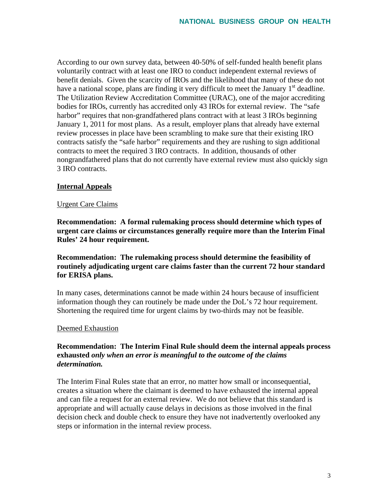According to our own survey data, between 40-50% of self-funded health benefit plans voluntarily contract with at least one IRO to conduct independent external reviews of benefit denials. Given the scarcity of IROs and the likelihood that many of these do not have a national scope, plans are finding it very difficult to meet the January  $1<sup>st</sup>$  deadline. The Utilization Review Accreditation Committee (URAC), one of the major accrediting bodies for IROs, currently has accredited only 43 IROs for external review. The "safe harbor" requires that non-grandfathered plans contract with at least 3 IROs beginning January 1, 2011 for most plans. As a result, employer plans that already have external review processes in place have been scrambling to make sure that their existing IRO contracts satisfy the "safe harbor" requirements and they are rushing to sign additional contracts to meet the required 3 IRO contracts. In addition, thousands of other nongrandfathered plans that do not currently have external review must also quickly sign 3 IRO contracts.

### **Internal Appeals**

#### Urgent Care Claims

**Recommendation: A formal rulemaking process should determine which types of urgent care claims or circumstances generally require more than the Interim Final Rules' 24 hour requirement.**

# **Recommendation: The rulemaking process should determine the feasibility of routinely adjudicating urgent care claims faster than the current 72 hour standard for ERISA plans.**

In many cases, determinations cannot be made within 24 hours because of insufficient information though they can routinely be made under the DoL's 72 hour requirement. Shortening the required time for urgent claims by two-thirds may not be feasible.

#### Deemed Exhaustion

# **Recommendation: The Interim Final Rule should deem the internal appeals process exhausted** *only when an error is meaningful to the outcome of the claims determination.*

The Interim Final Rules state that an error, no matter how small or inconsequential, creates a situation where the claimant is deemed to have exhausted the internal appeal and can file a request for an external review. We do not believe that this standard is appropriate and will actually cause delays in decisions as those involved in the final decision check and double check to ensure they have not inadvertently overlooked any steps or information in the internal review process.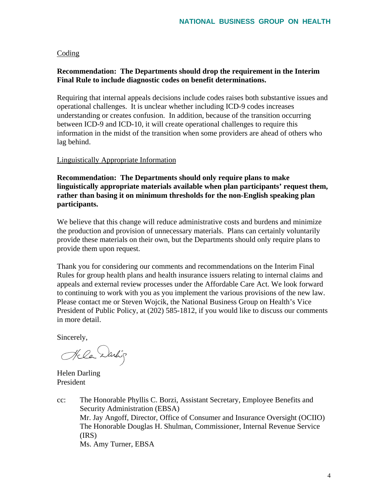#### Coding

## **Recommendation: The Departments should drop the requirement in the Interim Final Rule to include diagnostic codes on benefit determinations.**

Requiring that internal appeals decisions include codes raises both substantive issues and operational challenges. It is unclear whether including ICD-9 codes increases understanding or creates confusion. In addition, because of the transition occurring between ICD-9 and ICD-10, it will create operational challenges to require this information in the midst of the transition when some providers are ahead of others who lag behind.

#### Linguistically Appropriate Information

**Recommendation: The Departments should only require plans to make linguistically appropriate materials available when plan participants' request them, rather than basing it on minimum thresholds for the non-English speaking plan participants.** 

We believe that this change will reduce administrative costs and burdens and minimize the production and provision of unnecessary materials. Plans can certainly voluntarily provide these materials on their own, but the Departments should only require plans to provide them upon request.

Thank you for considering our comments and recommendations on the Interim Final Rules for group health plans and health insurance issuers relating to internal claims and appeals and external review processes under the Affordable Care Act. We look forward to continuing to work with you as you implement the various provisions of the new law. Please contact me or Steven Wojcik, the National Business Group on Health's Vice President of Public Policy, at (202) 585-1812, if you would like to discuss our comments in more detail.

Sincerely,

Hela Darlig

Helen Darling President

cc: The Honorable Phyllis C. Borzi, Assistant Secretary, Employee Benefits and Security Administration (EBSA) Mr. Jay Angoff, Director, Office of Consumer and Insurance Oversight (OCIIO) The Honorable Douglas H. Shulman, Commissioner, Internal Revenue Service (IRS) Ms. Amy Turner, EBSA